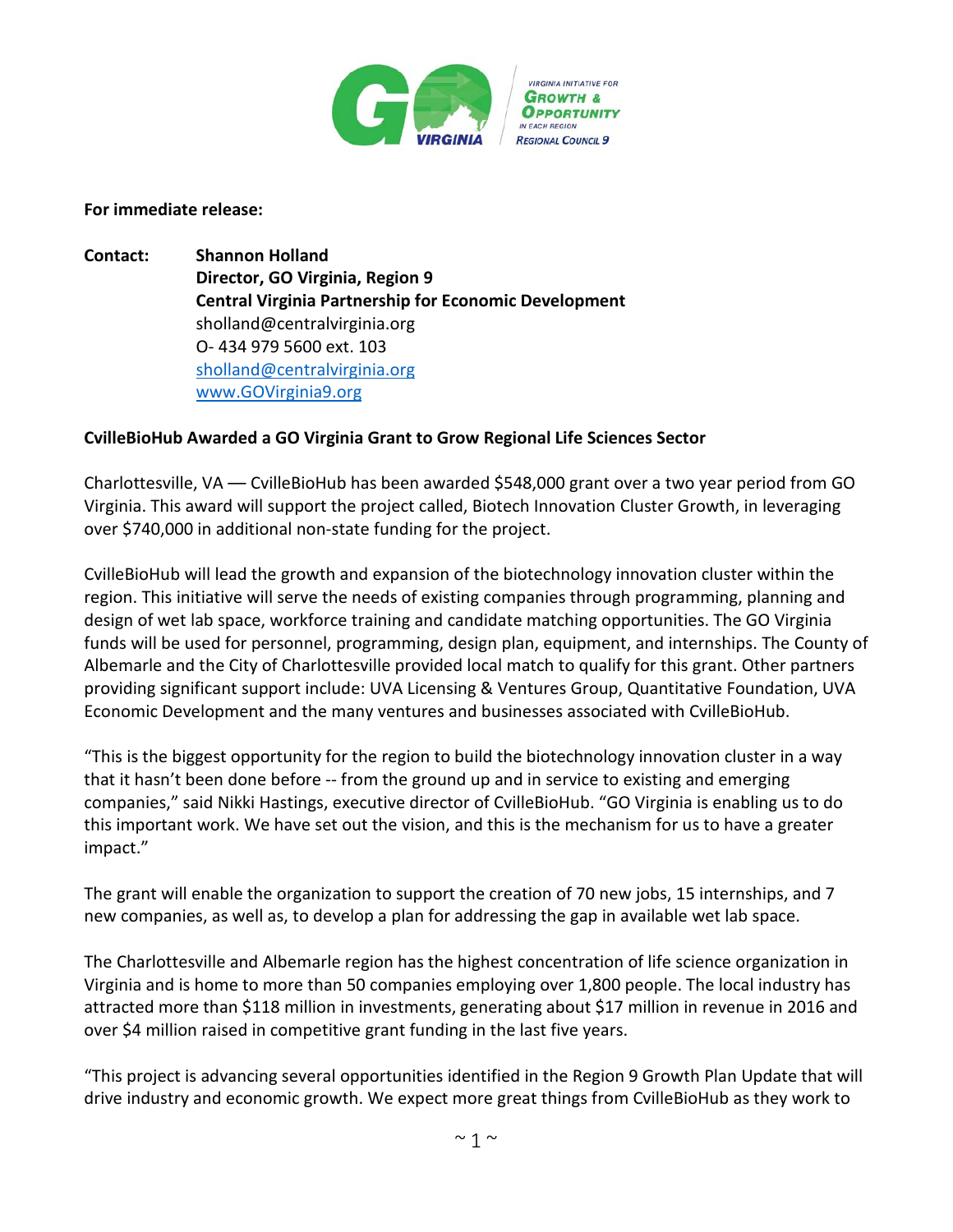

## **For immediate release:**

**Contact: Shannon Holland Director, GO Virginia, Region 9 Central Virginia Partnership for Economic Development** sholland@centralvirginia.org O- 434 979 5600 ext. 103 [sholland@centralvirginia.org](mailto:sholland@centralvirginia.org) [www.GOVirginia9.org](http://www.govirginia9.org/)

## **CvilleBioHub Awarded a GO Virginia Grant to Grow Regional Life Sciences Sector**

Charlottesville, VA –– CvilleBioHub has been awarded \$548,000 grant over a two year period from GO Virginia. This award will support the project called, Biotech Innovation Cluster Growth, in leveraging over \$740,000 in additional non-state funding for the project.

CvilleBioHub will lead the growth and expansion of the biotechnology innovation cluster within the region. This initiative will serve the needs of existing companies through programming, planning and design of wet lab space, workforce training and candidate matching opportunities. The GO Virginia funds will be used for personnel, programming, design plan, equipment, and internships. The County of Albemarle and the City of Charlottesville provided local match to qualify for this grant. Other partners providing significant support include: UVA Licensing & Ventures Group, Quantitative Foundation, UVA Economic Development and the many ventures and businesses associated with CvilleBioHub.

"This is the biggest opportunity for the region to build the biotechnology innovation cluster in a way that it hasn't been done before -- from the ground up and in service to existing and emerging companies," said Nikki Hastings, executive director of CvilleBioHub. "GO Virginia is enabling us to do this important work. We have set out the vision, and this is the mechanism for us to have a greater impact."

The grant will enable the organization to support the creation of 70 new jobs, 15 internships, and 7 new companies, as well as, to develop a plan for addressing the gap in available wet lab space.

The Charlottesville and Albemarle region has the highest concentration of life science organization in Virginia and is home to more than 50 companies employing over 1,800 people. The local industry has attracted more than \$118 million in investments, generating about \$17 million in revenue in 2016 and over \$4 million raised in competitive grant funding in the last five years.

"This project is advancing several opportunities identified in the Region 9 Growth Plan Update that will drive industry and economic growth. We expect more great things from CvilleBioHub as they work to